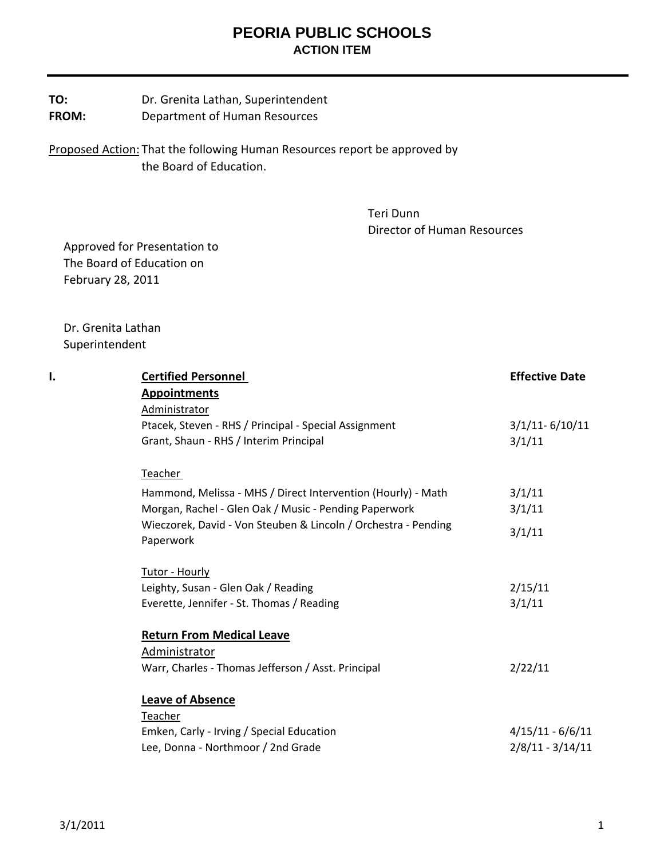**TO:** Dr. Grenita Lathan, Superintendent **FROM:** Department of Human Resources

Proposed Action: That the following Human Resources report be approved by the Board of Education.

> Teri Dunn Director of Human Resources

 Approved for Presentation to The Board of Education on February 28, 2011

 Dr. Grenita Lathan Superintendent

| I. | <b>Certified Personnel</b>                                     | <b>Effective Date</b> |
|----|----------------------------------------------------------------|-----------------------|
|    | <b>Appointments</b>                                            |                       |
|    | Administrator                                                  |                       |
|    | Ptacek, Steven - RHS / Principal - Special Assignment          | $3/1/11 - 6/10/11$    |
|    | Grant, Shaun - RHS / Interim Principal                         | 3/1/11                |
|    | Teacher                                                        |                       |
|    | Hammond, Melissa - MHS / Direct Intervention (Hourly) - Math   | 3/1/11                |
|    | Morgan, Rachel - Glen Oak / Music - Pending Paperwork          | 3/1/11                |
|    | Wieczorek, David - Von Steuben & Lincoln / Orchestra - Pending | 3/1/11                |
|    | Paperwork                                                      |                       |
|    | Tutor - Hourly                                                 |                       |
|    | Leighty, Susan - Glen Oak / Reading                            | 2/15/11               |
|    | Everette, Jennifer - St. Thomas / Reading                      | 3/1/11                |
|    | <b>Return From Medical Leave</b>                               |                       |
|    | Administrator                                                  |                       |
|    | Warr, Charles - Thomas Jefferson / Asst. Principal             | 2/22/11               |
|    | <b>Leave of Absence</b>                                        |                       |
|    | Teacher                                                        |                       |
|    | Emken, Carly - Irving / Special Education                      | $4/15/11 - 6/6/11$    |
|    | Lee, Donna - Northmoor / 2nd Grade                             | $2/8/11 - 3/14/11$    |
|    |                                                                |                       |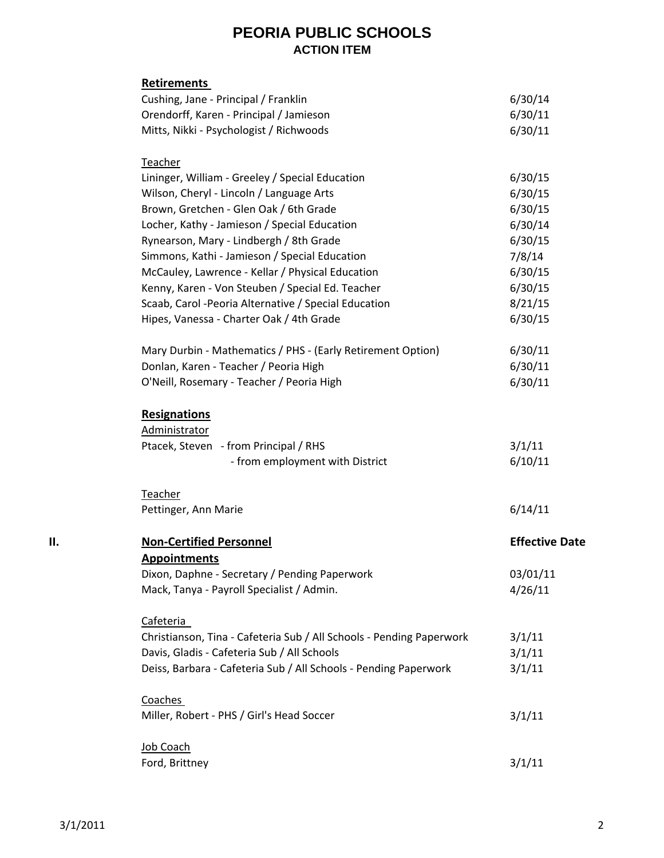|    | <b>Retirements</b>                                                   |                       |
|----|----------------------------------------------------------------------|-----------------------|
|    | Cushing, Jane - Principal / Franklin                                 | 6/30/14               |
|    | Orendorff, Karen - Principal / Jamieson                              | 6/30/11               |
|    | Mitts, Nikki - Psychologist / Richwoods                              | 6/30/11               |
|    | Teacher                                                              |                       |
|    | Lininger, William - Greeley / Special Education                      | 6/30/15               |
|    | Wilson, Cheryl - Lincoln / Language Arts                             | 6/30/15               |
|    | Brown, Gretchen - Glen Oak / 6th Grade                               | 6/30/15               |
|    | Locher, Kathy - Jamieson / Special Education                         | 6/30/14               |
|    | Rynearson, Mary - Lindbergh / 8th Grade                              | 6/30/15               |
|    | Simmons, Kathi - Jamieson / Special Education                        | 7/8/14                |
|    | McCauley, Lawrence - Kellar / Physical Education                     | 6/30/15               |
|    | Kenny, Karen - Von Steuben / Special Ed. Teacher                     | 6/30/15               |
|    | Scaab, Carol - Peoria Alternative / Special Education                | 8/21/15               |
|    | Hipes, Vanessa - Charter Oak / 4th Grade                             | 6/30/15               |
|    | Mary Durbin - Mathematics / PHS - (Early Retirement Option)          | 6/30/11               |
|    | Donlan, Karen - Teacher / Peoria High                                | 6/30/11               |
|    | O'Neill, Rosemary - Teacher / Peoria High                            | 6/30/11               |
|    | <b>Resignations</b>                                                  |                       |
|    | Administrator                                                        |                       |
|    | Ptacek, Steven - from Principal / RHS                                | 3/1/11                |
|    | - from employment with District                                      | 6/10/11               |
|    | Teacher                                                              |                       |
|    | Pettinger, Ann Marie                                                 | 6/14/11               |
| П. | <b>Non-Certified Personnel</b>                                       | <b>Effective Date</b> |
|    | <b>Appointments</b>                                                  |                       |
|    | Dixon, Daphne - Secretary / Pending Paperwork                        | 03/01/11              |
|    | Mack, Tanya - Payroll Specialist / Admin.                            | 4/26/11               |
|    | Cafeteria                                                            |                       |
|    | Christianson, Tina - Cafeteria Sub / All Schools - Pending Paperwork | 3/1/11                |
|    | Davis, Gladis - Cafeteria Sub / All Schools                          | 3/1/11                |
|    | Deiss, Barbara - Cafeteria Sub / All Schools - Pending Paperwork     | 3/1/11                |
|    | Coaches                                                              |                       |
|    | Miller, Robert - PHS / Girl's Head Soccer                            | 3/1/11                |
|    | Job Coach                                                            |                       |
|    | Ford, Brittney                                                       | 3/1/11                |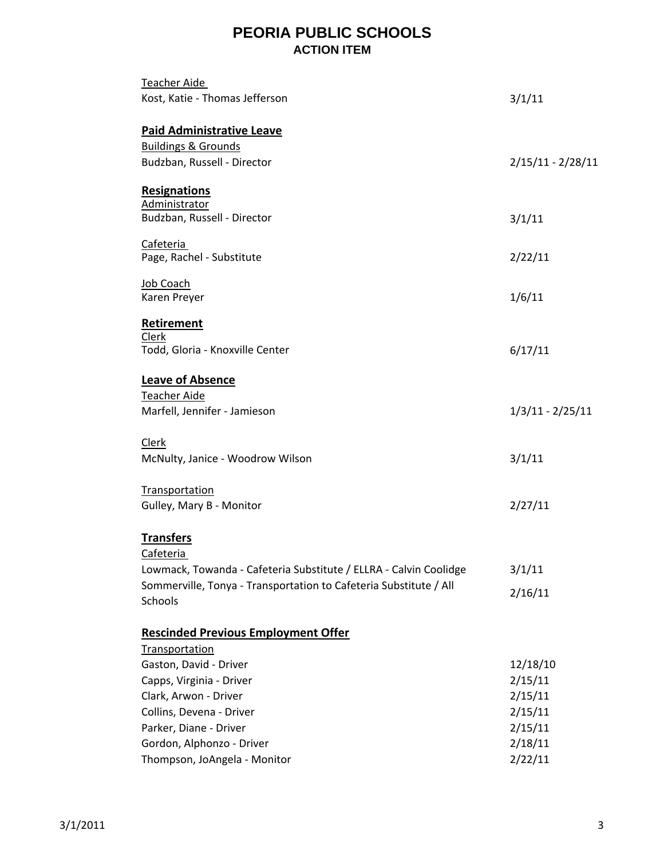| Teacher Aide<br>Kost, Katie - Thomas Jefferson                               | 3/1/11              |
|------------------------------------------------------------------------------|---------------------|
| <b>Paid Administrative Leave</b>                                             |                     |
| <b>Buildings &amp; Grounds</b><br>Budzban, Russell - Director                | $2/15/11 - 2/28/11$ |
| <b>Resignations</b><br>Administrator                                         |                     |
| Budzban, Russell - Director                                                  | 3/1/11              |
| Cafeteria<br>Page, Rachel - Substitute                                       | 2/22/11             |
| Job Coach<br>Karen Preyer                                                    | 1/6/11              |
| <b>Retirement</b><br>Clerk                                                   |                     |
| Todd, Gloria - Knoxville Center                                              | 6/17/11             |
| <b>Leave of Absence</b>                                                      |                     |
| <b>Teacher Aide</b><br>Marfell, Jennifer - Jamieson                          | $1/3/11 - 2/25/11$  |
| <b>Clerk</b>                                                                 |                     |
| McNulty, Janice - Woodrow Wilson                                             | 3/1/11              |
| <b>Transportation</b>                                                        |                     |
| Gulley, Mary B - Monitor                                                     | 2/27/11             |
| <b>Transfers</b><br>Cafeteria                                                |                     |
| Lowmack, Towanda - Cafeteria Substitute / ELLRA - Calvin Coolidge            | 3/1/11              |
| Sommerville, Tonya - Transportation to Cafeteria Substitute / All<br>Schools | 2/16/11             |
| <b>Rescinded Previous Employment Offer</b>                                   |                     |
| Transportation                                                               |                     |
| Gaston, David - Driver                                                       | 12/18/10            |
| Capps, Virginia - Driver                                                     | 2/15/11             |
| Clark, Arwon - Driver                                                        | 2/15/11             |
| Collins, Devena - Driver                                                     | 2/15/11             |
| Parker, Diane - Driver                                                       | 2/15/11             |
| Gordon, Alphonzo - Driver                                                    | 2/18/11             |
| Thompson, JoAngela - Monitor                                                 | 2/22/11             |